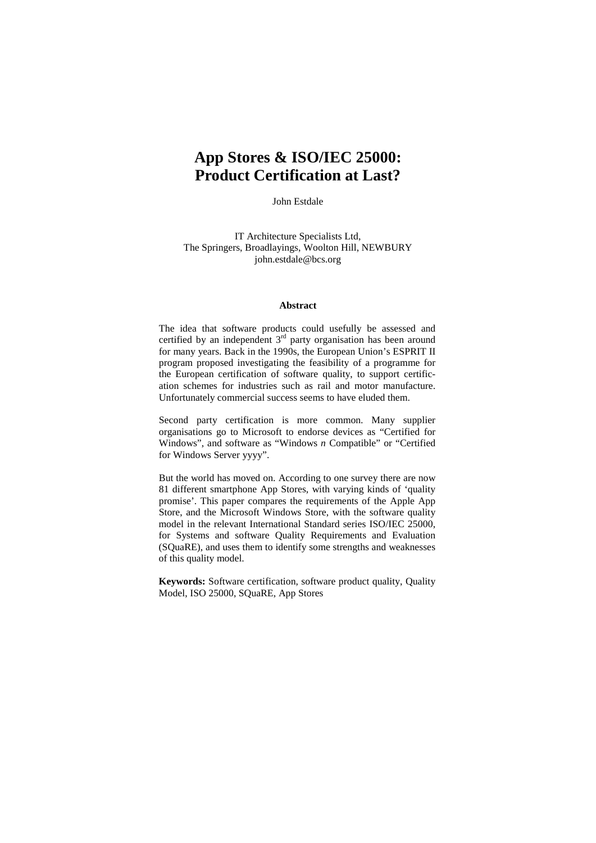# **App Stores & ISO/IEC 25000: Product Certification at Last?**

John Estdale

IT Architecture Specialists Ltd, The Springers, Broadlayings, Woolton Hill, NEWBURY john.estdale@bcs.org

#### **Abstract**

The idea that software products could usefully be assessed and certified by an independent 3<sup>rd</sup> party organisation has been around for many years. Back in the 1990s, the European Union's ESPRIT II program proposed investigating the feasibility of a programme for the European certification of software quality, to support certification schemes for industries such as rail and motor manufacture. Unfortunately commercial success seems to have eluded them.

Second party certification is more common. Many supplier organisations go to Microsoft to endorse devices as "Certified for Windows", and software as "Windows *n* Compatible" or "Certified for Windows Server yyyy".

But the world has moved on. According to one survey there are now 81 different smartphone App Stores, with varying kinds of 'quality promise'. This paper compares the requirements of the Apple App Store, and the Microsoft Windows Store, with the software quality model in the relevant International Standard series ISO/IEC 25000, for Systems and software Quality Requirements and Evaluation (SQuaRE), and uses them to identify some strengths and weaknesses of this quality model.

**Keywords:** Software certification, software product quality, Quality Model, ISO 25000, SQuaRE, App Stores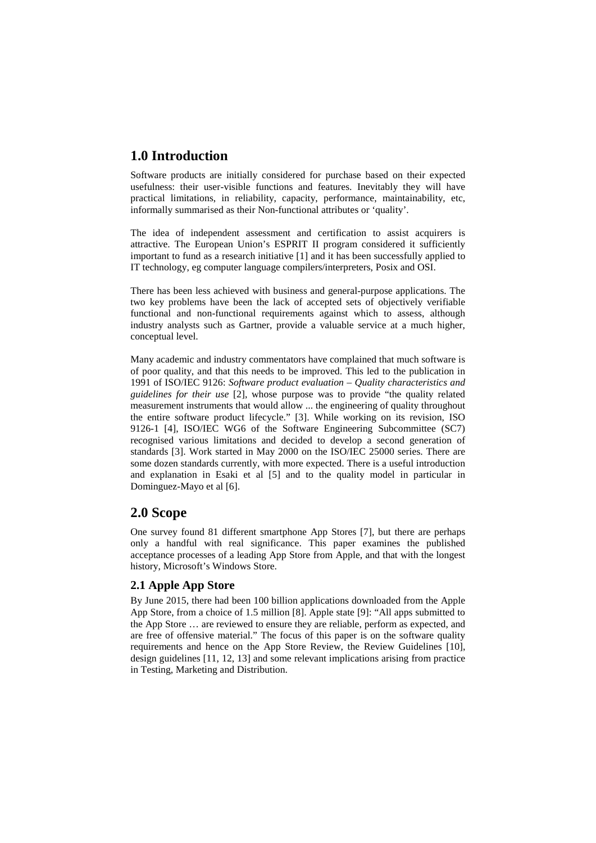# **1.0 Introduction**

Software products are initially considered for purchase based on their expected usefulness: their user-visible functions and features. Inevitably they will have practical limitations, in reliability, capacity, performance, maintainability, etc, informally summarised as their Non-functional attributes or 'quality'.

The idea of independent assessment and certification to assist acquirers is attractive. The European Union's ESPRIT II program considered it sufficiently important to fund as a research initiative [1] and it has been successfully applied to IT technology, eg computer language compilers/interpreters, Posix and OSI.

There has been less achieved with business and general-purpose applications. The two key problems have been the lack of accepted sets of objectively verifiable functional and non-functional requirements against which to assess, although industry analysts such as Gartner, provide a valuable service at a much higher, conceptual level.

Many academic and industry commentators have complained that much software is of poor quality, and that this needs to be improved. This led to the publication in 1991 of ISO/IEC 9126: *Software product evaluation – Quality characteristics and guidelines for their use* [2], whose purpose was to provide "the quality related measurement instruments that would allow ... the engineering of quality throughout the entire software product lifecycle." [3]. While working on its revision, ISO 9126-1 [4], ISO/IEC WG6 of the Software Engineering Subcommittee (SC7) recognised various limitations and decided to develop a second generation of standards [3]. Work started in May 2000 on the ISO/IEC 25000 series. There are some dozen standards currently, with more expected. There is a useful introduction and explanation in Esaki et al [5] and to the quality model in particular in Dominguez-Mayo et al [6].

# **2.0 Scope**

One survey found 81 different smartphone App Stores [7], but there are perhaps only a handful with real significance. This paper examines the published acceptance processes of a leading App Store from Apple, and that with the longest history, Microsoft's Windows Store.

### **2.1 Apple App Store**

By June 2015, there had been 100 billion applications downloaded from the Apple App Store, from a choice of 1.5 million [8]. Apple state [9]: "All apps submitted to the App Store … are reviewed to ensure they are reliable, perform as expected, and are free of offensive material." The focus of this paper is on the software quality requirements and hence on the App Store Review, the Review Guidelines [10], design guidelines [11, 12, 13] and some relevant implications arising from practice in Testing, Marketing and Distribution.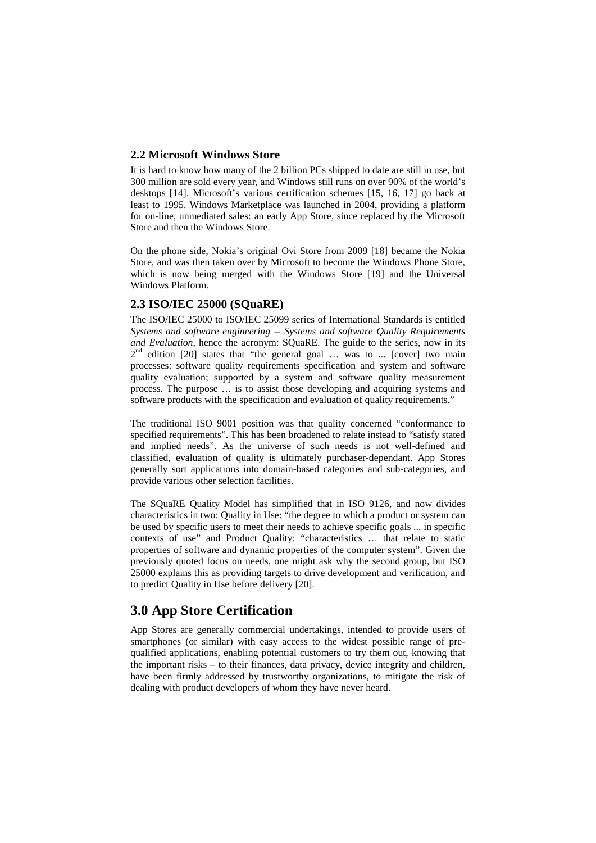#### **2.2 Microsoft Windows Store**

It is hard to know how many of the 2 billion PCs shipped to date are still in use, but 300 million are sold every year, and Windows still runs on over 90% of the world's desktops [14]. Microsoft's various certification schemes [15, 16, 17] go back at least to 1995. Windows Marketplace was launched in 2004, providing a platform for on-line, unmediated sales: an early App Store, since replaced by the Microsoft Store and then the Windows Store.

On the phone side, Nokia's original Ovi Store from 2009 [18] became the Nokia Store, and was then taken over by Microsoft to become the Windows Phone Store, which is now being merged with the Windows Store [19] and the Universal Windows Platform.

#### **2.3 ISO/IEC 25000 (SQuaRE)**

The ISO/IEC 25000 to ISO/IEC 25099 series of International Standards is entitled *Systems and software engineering -- Systems and software Quality Requirements and Evaluation*, hence the acronym: SQuaRE. The guide to the series, now in its  $2<sup>nd</sup>$  edition [20] states that "the general goal ... was to ... [cover] two main processes: software quality requirements specification and system and software quality evaluation; supported by a system and software quality measurement process. The purpose … is to assist those developing and acquiring systems and software products with the specification and evaluation of quality requirements."

The traditional ISO 9001 position was that quality concerned "conformance to specified requirements". This has been broadened to relate instead to "satisfy stated and implied needs". As the universe of such needs is not well-defined and classified, evaluation of quality is ultimately purchaser-dependant. App Stores generally sort applications into domain-based categories and sub-categories, and provide various other selection facilities.

The SQuaRE Quality Model has simplified that in ISO 9126, and now divides characteristics in two: Quality in Use: "the degree to which a product or system can be used by specific users to meet their needs to achieve specific goals ... in specific contexts of use" and Product Quality: "characteristics … that relate to static properties of software and dynamic properties of the computer system". Given the previously quoted focus on needs, one might ask why the second group, but ISO 25000 explains this as providing targets to drive development and verification, and to predict Quality in Use before delivery [20].

# **3.0 App Store Certification**

App Stores are generally commercial undertakings, intended to provide users of smartphones (or similar) with easy access to the widest possible range of prequalified applications, enabling potential customers to try them out, knowing that the important risks – to their finances, data privacy, device integrity and children, have been firmly addressed by trustworthy organizations, to mitigate the risk of dealing with product developers of whom they have never heard.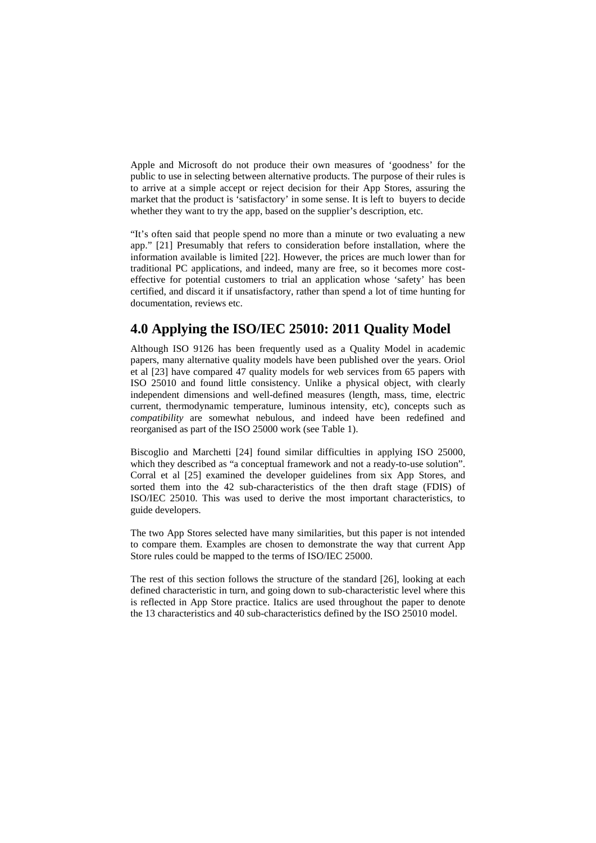Apple and Microsoft do not produce their own measures of 'goodness' for the public to use in selecting between alternative products. The purpose of their rules is to arrive at a simple accept or reject decision for their App Stores, assuring the market that the product is 'satisfactory' in some sense. It is left to buyers to decide whether they want to try the app, based on the supplier's description, etc.

"It's often said that people spend no more than a minute or two evaluating a new app." [21] Presumably that refers to consideration before installation, where the information available is limited [22]. However, the prices are much lower than for traditional PC applications, and indeed, many are free, so it becomes more costeffective for potential customers to trial an application whose 'safety' has been certified, and discard it if unsatisfactory, rather than spend a lot of time hunting for documentation, reviews etc.

# **4.0 Applying the ISO/IEC 25010: 2011 Quality Model**

Although ISO 9126 has been frequently used as a Quality Model in academic papers, many alternative quality models have been published over the years. Oriol et al [23] have compared 47 quality models for web services from 65 papers with ISO 25010 and found little consistency. Unlike a physical object, with clearly independent dimensions and well-defined measures (length, mass, time, electric current, thermodynamic temperature, luminous intensity, etc), concepts such as *compatibility* are somewhat nebulous, and indeed have been redefined and reorganised as part of the ISO 25000 work (se[e Table 1\)](#page-4-0).

Biscoglio and Marchetti [24] found similar difficulties in applying ISO 25000, which they described as "a conceptual framework and not a ready-to-use solution". Corral et al [25] examined the developer guidelines from six App Stores, and sorted them into the 42 sub-characteristics of the then draft stage (FDIS) of ISO/IEC 25010. This was used to derive the most important characteristics, to guide developers.

The two App Stores selected have many similarities, but this paper is not intended to compare them. Examples are chosen to demonstrate the way that current App Store rules could be mapped to the terms of ISO/IEC 25000.

The rest of this section follows the structure of the standard [26], looking at each defined characteristic in turn, and going down to sub-characteristic level where this is reflected in App Store practice. Italics are used throughout the paper to denote the 13 characteristics and 40 sub-characteristics defined by the ISO 25010 model.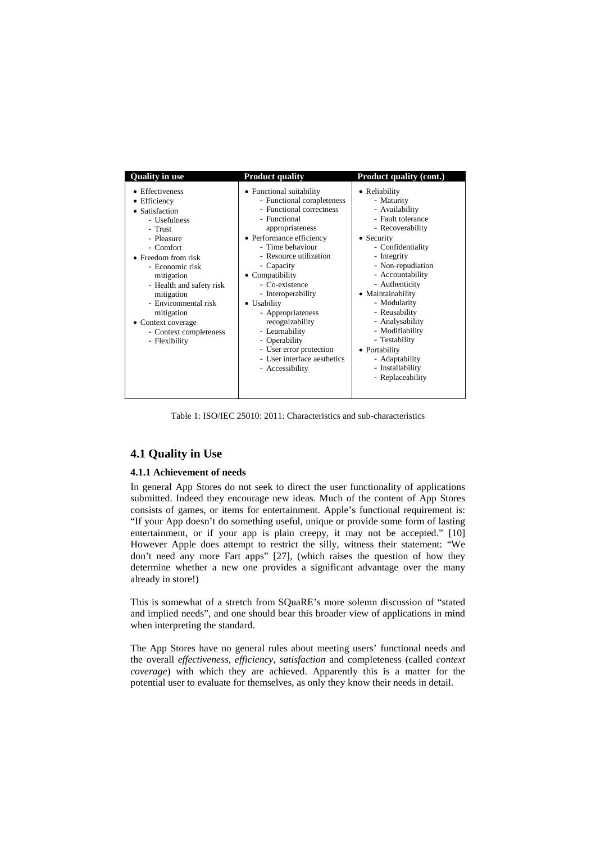| <b>Quality in use</b>                                                                                                                                                                                                                                                                                                  | <b>Product quality</b>                                                                                                                                                                                                                                                                                                                                                                                                                         | <b>Product quality (cont.)</b>                                                                                                                                                                                                                                                                                                                                                              |
|------------------------------------------------------------------------------------------------------------------------------------------------------------------------------------------------------------------------------------------------------------------------------------------------------------------------|------------------------------------------------------------------------------------------------------------------------------------------------------------------------------------------------------------------------------------------------------------------------------------------------------------------------------------------------------------------------------------------------------------------------------------------------|---------------------------------------------------------------------------------------------------------------------------------------------------------------------------------------------------------------------------------------------------------------------------------------------------------------------------------------------------------------------------------------------|
| Effectiveness<br>• Efficiency<br>• Satisfaction<br>- Usefulness<br>- Trust<br>- Pleasure<br>- Comfort<br>$\bullet$ Freedom from risk<br>- Economic risk<br>mitigation<br>- Health and safety risk<br>mitigation<br>- Environmental risk<br>mitigation<br>• Context coverage<br>- Context completeness<br>- Flexibility | • Functional suitability<br>- Functional completeness<br>- Functional correctness<br>- Functional<br>appropriateness<br>• Performance efficiency<br>- Time behaviour<br>- Resource utilization<br>- Capacity<br>• Compatibility<br>- Co-existence<br>- Interoperability<br>• Usability<br>- Appropriateness<br>recognizability<br>- Learnability<br>- Operability<br>- User error protection<br>- User interface aesthetics<br>- Accessibility | • Reliability<br>- Maturity<br>- Availability<br>- Fault tolerance<br>- Recoverability<br>• Security<br>- Confidentiality<br>- Integrity<br>- Non-repudiation<br>- Accountability<br>- Authenticity<br>• Maintainability<br>- Modularity<br>- Reusability<br>- Analysability<br>- Modifiability<br>- Testability<br>• Portability<br>- Adaptability<br>- Installability<br>- Replaceability |

Table 1: ISO/IEC 25010: 2011: Characteristics and sub-characteristics

### <span id="page-4-0"></span>**4.1 Quality in Use**

#### **4.1.1 Achievement of needs**

In general App Stores do not seek to direct the user functionality of applications submitted. Indeed they encourage new ideas. Much of the content of App Stores consists of games, or items for entertainment. Apple's functional requirement is: "If your App doesn't do something useful, unique or provide some form of lasting entertainment, or if your app is plain creepy, it may not be accepted." [10] However Apple does attempt to restrict the silly, witness their statement: "We don't need any more Fart apps" [27], (which raises the question of how they determine whether a new one provides a significant advantage over the many already in store!)

This is somewhat of a stretch from SQuaRE's more solemn discussion of "stated and implied needs", and one should bear this broader view of applications in mind when interpreting the standard.

The App Stores have no general rules about meeting users' functional needs and the overall *effectiveness*, *efficiency*, *satisfaction* and completeness (called *context coverage*) with which they are achieved. Apparently this is a matter for the potential user to evaluate for themselves, as only they know their needs in detail.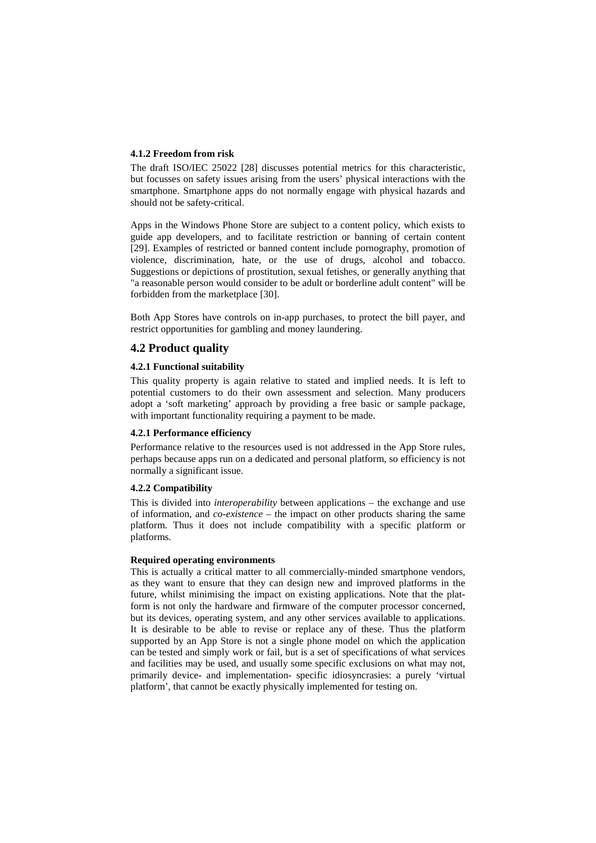#### **4.1.2 Freedom from risk**

The draft ISO/IEC 25022 [28] discusses potential metrics for this characteristic, but focusses on safety issues arising from the users' physical interactions with the smartphone. Smartphone apps do not normally engage with physical hazards and should not be safety-critical.

Apps in the Windows Phone Store are subject to a content policy, which exists to guide app developers, and to facilitate restriction or banning of certain content [29]. Examples of restricted or banned content include pornography, promotion of violence, discrimination, hate, or the use of drugs, alcohol and tobacco. Suggestions or depictions of prostitution, sexual fetishes, or generally anything that "a reasonable person would consider to be adult or borderline adult content" will be forbidden from the marketplace [30].

Both App Stores have controls on in-app purchases, to protect the bill payer, and restrict opportunities for gambling and money laundering.

#### **4.2 Product quality**

#### **4.2.1 Functional suitability**

This quality property is again relative to stated and implied needs. It is left to potential customers to do their own assessment and selection. Many producers adopt a 'soft marketing' approach by providing a free basic or sample package, with important functionality requiring a payment to be made.

#### **4.2.1 Performance efficiency**

Performance relative to the resources used is not addressed in the App Store rules, perhaps because apps run on a dedicated and personal platform, so efficiency is not normally a significant issue.

#### **4.2.2 Compatibility**

This is divided into *interoperability* between applications – the exchange and use of information, and *co-existence* – the impact on other products sharing the same platform. Thus it does not include compatibility with a specific platform or platforms.

#### **Required operating environments**

This is actually a critical matter to all commercially-minded smartphone vendors, as they want to ensure that they can design new and improved platforms in the future, whilst minimising the impact on existing applications. Note that the platform is not only the hardware and firmware of the computer processor concerned, but its devices, operating system, and any other services available to applications. It is desirable to be able to revise or replace any of these. Thus the platform supported by an App Store is not a single phone model on which the application can be tested and simply work or fail, but is a set of specifications of what services and facilities may be used, and usually some specific exclusions on what may not, primarily device- and implementation- specific idiosyncrasies: a purely 'virtual platform', that cannot be exactly physically implemented for testing on.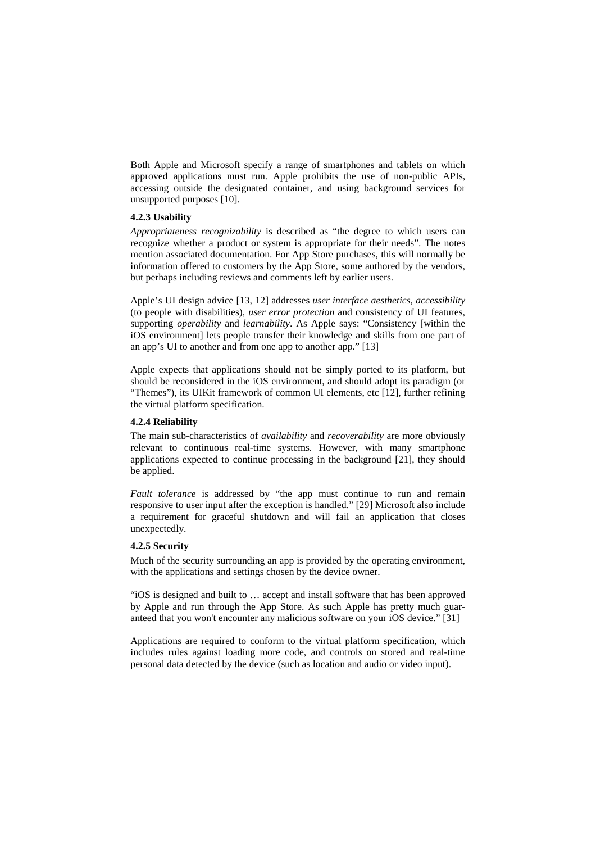Both Apple and Microsoft specify a range of smartphones and tablets on which approved applications must run. Apple prohibits the use of non-public APIs, accessing outside the designated container, and using background services for unsupported purposes [10].

#### **4.2.3 Usability**

*Appropriateness recognizability* is described as "the degree to which users can recognize whether a product or system is appropriate for their needs". The notes mention associated documentation. For App Store purchases, this will normally be information offered to customers by the App Store, some authored by the vendors, but perhaps including reviews and comments left by earlier users.

Apple's UI design advice [13, 12] addresses *user interface aesthetics*, *accessibility* (to people with disabilities), *user error protection* and consistency of UI features, supporting *operability* and *learnability*. As Apple says: "Consistency [within the iOS environment] lets people transfer their knowledge and skills from one part of an app's UI to another and from one app to another app." [13]

Apple expects that applications should not be simply ported to its platform, but should be reconsidered in the iOS environment, and should adopt its paradigm (or "Themes"), its UIKit framework of common UI elements, etc [12], further refining the virtual platform specification.

#### **4.2.4 Reliability**

The main sub-characteristics of *availability* and *recoverability* are more obviously relevant to continuous real-time systems. However, with many smartphone applications expected to continue processing in the background [21], they should be applied.

*Fault tolerance* is addressed by "the app must continue to run and remain responsive to user input after the exception is handled." [29] Microsoft also include a requirement for graceful shutdown and will fail an application that closes unexpectedly.

#### **4.2.5 Security**

Much of the security surrounding an app is provided by the operating environment, with the applications and settings chosen by the device owner.

"iOS is designed and built to … accept and install software that has been approved by Apple and run through the App Store. As such Apple has pretty much guaranteed that you won't encounter any malicious software on your iOS device." [31]

Applications are required to conform to the virtual platform specification, which includes rules against loading more code, and controls on stored and real-time personal data detected by the device (such as location and audio or video input).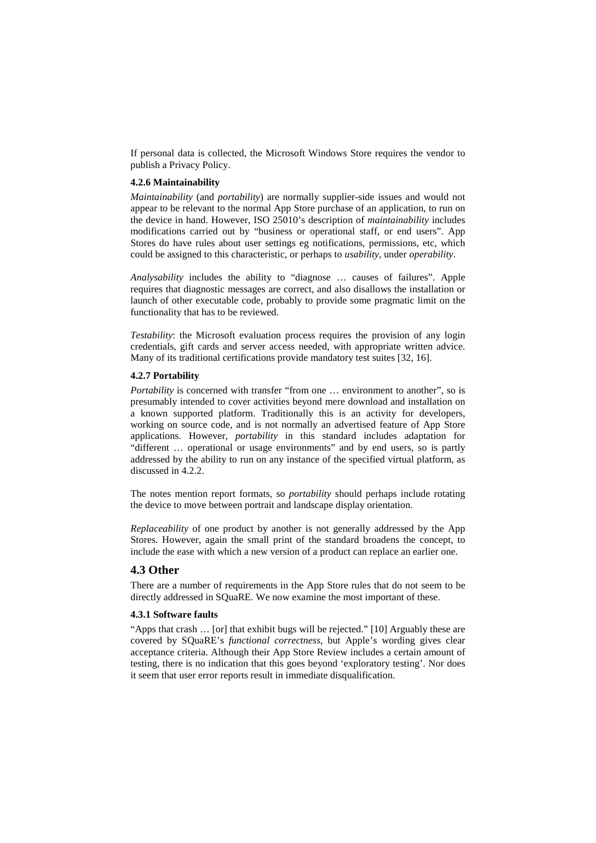If personal data is collected, the Microsoft Windows Store requires the vendor to publish a Privacy Policy.

#### **4.2.6 Maintainability**

*Maintainability* (and *portability*) are normally supplier-side issues and would not appear to be relevant to the normal App Store purchase of an application, to run on the device in hand. However, ISO 25010's description of *maintainability* includes modifications carried out by "business or operational staff, or end users". App Stores do have rules about user settings eg notifications, permissions, etc, which could be assigned to this characteristic, or perhaps to *usability*, under *operability*.

*Analysability* includes the ability to "diagnose … causes of failures". Apple requires that diagnostic messages are correct, and also disallows the installation or launch of other executable code, probably to provide some pragmatic limit on the functionality that has to be reviewed.

*Testability*: the Microsoft evaluation process requires the provision of any login credentials, gift cards and server access needed, with appropriate written advice. Many of its traditional certifications provide mandatory test suites [32, 16].

#### **4.2.7 Portability**

*Portability* is concerned with transfer "from one ... environment to another", so is presumably intended to cover activities beyond mere download and installation on a known supported platform. Traditionally this is an activity for developers, working on source code, and is not normally an advertised feature of App Store applications. However, *portability* in this standard includes adaptation for "different … operational or usage environments" and by end users, so is partly addressed by the ability to run on any instance of the specified virtual platform, as discussed in 4.2.2.

The notes mention report formats, so *portability* should perhaps include rotating the device to move between portrait and landscape display orientation.

*Replaceability* of one product by another is not generally addressed by the App Stores. However, again the small print of the standard broadens the concept, to include the ease with which a new version of a product can replace an earlier one.

#### **4.3 Other**

There are a number of requirements in the App Store rules that do not seem to be directly addressed in SQuaRE. We now examine the most important of these.

#### **4.3.1 Software faults**

"Apps that crash … [or] that exhibit bugs will be rejected." [10] Arguably these are covered by SQuaRE's *functional correctness*, but Apple's wording gives clear acceptance criteria. Although their App Store Review includes a certain amount of testing, there is no indication that this goes beyond 'exploratory testing'. Nor does it seem that user error reports result in immediate disqualification.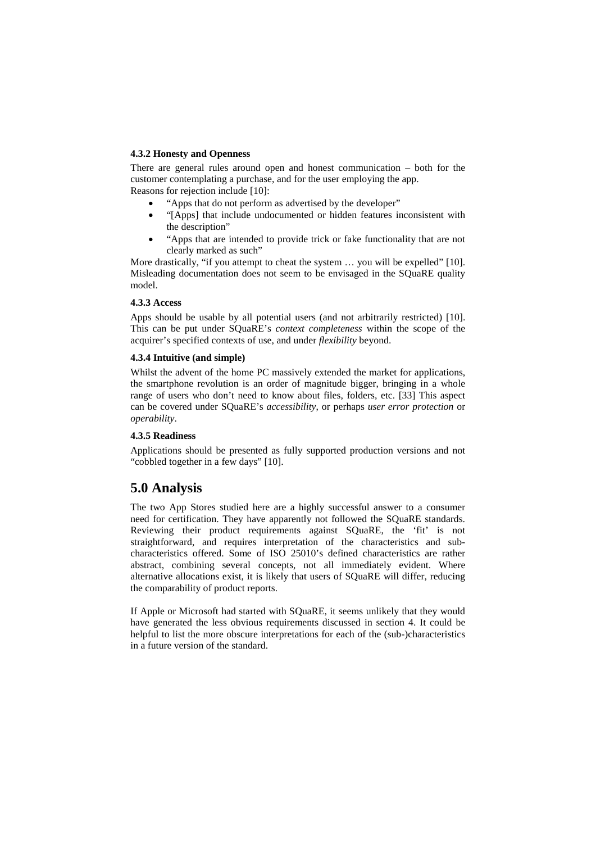#### **4.3.2 Honesty and Openness**

There are general rules around open and honest communication – both for the customer contemplating a purchase, and for the user employing the app. Reasons for rejection include [10]:

- "Apps that do not perform as advertised by the developer"
- "[Apps] that include undocumented or hidden features inconsistent with the description"
- "Apps that are intended to provide trick or fake functionality that are not clearly marked as such"

More drastically, "if you attempt to cheat the system … you will be expelled" [10]. Misleading documentation does not seem to be envisaged in the SQuaRE quality model.

#### **4.3.3 Access**

Apps should be usable by all potential users (and not arbitrarily restricted) [10]. This can be put under SQuaRE's *context completeness* within the scope of the acquirer's specified contexts of use, and under *flexibility* beyond.

#### **4.3.4 Intuitive (and simple)**

Whilst the advent of the home PC massively extended the market for applications, the smartphone revolution is an order of magnitude bigger, bringing in a whole range of users who don't need to know about files, folders, etc. [33] This aspect can be covered under SQuaRE's *accessibility*, or perhaps *user error protection* or *operability*.

#### **4.3.5 Readiness**

Applications should be presented as fully supported production versions and not "cobbled together in a few days" [10].

# **5.0 Analysis**

The two App Stores studied here are a highly successful answer to a consumer need for certification. They have apparently not followed the SQuaRE standards. Reviewing their product requirements against SQuaRE, the 'fit' is not straightforward, and requires interpretation of the characteristics and subcharacteristics offered. Some of ISO 25010's defined characteristics are rather abstract, combining several concepts, not all immediately evident. Where alternative allocations exist, it is likely that users of SQuaRE will differ, reducing the comparability of product reports.

If Apple or Microsoft had started with SQuaRE, it seems unlikely that they would have generated the less obvious requirements discussed in section 4. It could be helpful to list the more obscure interpretations for each of the (sub-)characteristics in a future version of the standard.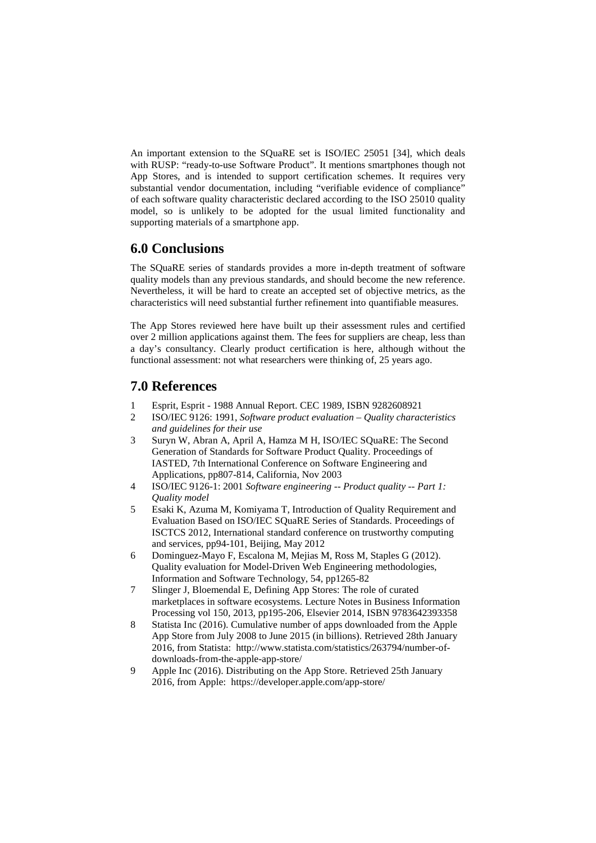An important extension to the SQuaRE set is ISO/IEC 25051 [34], which deals with RUSP: "ready-to-use Software Product". It mentions smartphones though not App Stores, and is intended to support certification schemes. It requires very substantial vendor documentation, including "verifiable evidence of compliance" of each software quality characteristic declared according to the ISO 25010 quality model, so is unlikely to be adopted for the usual limited functionality and supporting materials of a smartphone app.

### **6.0 Conclusions**

The SQuaRE series of standards provides a more in-depth treatment of software quality models than any previous standards, and should become the new reference. Nevertheless, it will be hard to create an accepted set of objective metrics, as the characteristics will need substantial further refinement into quantifiable measures.

The App Stores reviewed here have built up their assessment rules and certified over 2 million applications against them. The fees for suppliers are cheap, less than a day's consultancy. Clearly product certification is here, although without the functional assessment: not what researchers were thinking of, 25 years ago.

### **7.0 References**

- 1 Esprit, Esprit 1988 Annual Report. CEC 1989, ISBN 9282608921
- 2 ISO/IEC 9126: 1991, *Software product evaluation – Quality characteristics and guidelines for their use*
- 3 Suryn W, Abran A, April A, Hamza M H, ISO/IEC SQuaRE: The Second Generation of Standards for Software Product Quality. Proceedings of IASTED, 7th International Conference on Software Engineering and Applications, pp807-814, California, Nov 2003
- 4 ISO/IEC 9126-1: 2001 *Software engineering -- Product quality -- Part 1: Quality model*
- 5 Esaki K, Azuma M, Komiyama T, Introduction of Quality Requirement and Evaluation Based on ISO/IEC SQuaRE Series of Standards. Proceedings of ISCTCS 2012, International standard conference on trustworthy computing and services, pp94-101, Beijing, May 2012
- 6 Dominguez-Mayo F, Escalona M, Mejias M, Ross M, Staples G (2012). Quality evaluation for Model-Driven Web Engineering methodologies, Information and Software Technology, 54, pp1265-82
- 7 Slinger J, Bloemendal E, Defining App Stores: The role of curated marketplaces in software ecosystems. Lecture Notes in Business Information Processing vol 150, 2013, pp195-206, Elsevier 2014, ISBN 9783642393358
- 8 Statista Inc (2016). Cumulative number of apps downloaded from the Apple App Store from July 2008 to June 2015 (in billions). Retrieved 28th January 2016, from Statista: [http://www.statista.com/statistics/263794/number-of](http://www.statista.com/statistics/263794/number-of-downloads-from-the-apple-app-store/)[downloads-from-the-apple-app-store/](http://www.statista.com/statistics/263794/number-of-downloads-from-the-apple-app-store/)
- 9 Apple Inc (2016). Distributing on the App Store. Retrieved 25th January 2016, from Apple: <https://developer.apple.com/app-store/>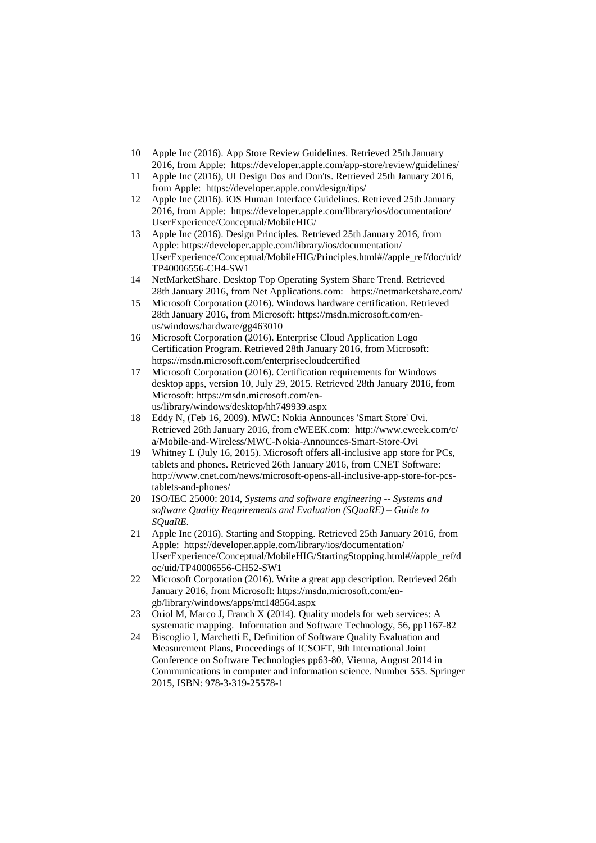- 10 Apple Inc (2016). App Store Review Guidelines. Retrieved 25th January 2016, from Apple: <https://developer.apple.com/app-store/review/guidelines/>
- 11 Apple Inc (2016), UI Design Dos and Don'ts. Retrieved 25th January 2016, from Apple: <https://developer.apple.com/design/tips/>
- 12 Apple Inc (2016). iOS Human Interface Guidelines. Retrieved 25th January 2016, from Apple: [https://developer.apple.com/library/ios/documentation/](https://developer.apple.com/library/ios/documentation/UserExperience/Conceptual/MobileHIG/) [UserExperience/Conceptual/MobileHIG/](https://developer.apple.com/library/ios/documentation/UserExperience/Conceptual/MobileHIG/)
- 13 Apple Inc (2016). Design Principles. Retrieved 25th January 2016, from Apple: [https://developer.apple.com/library/ios/documentation/](https://developer.apple.com/library/ios/documentation/‌‌UserExperience/Conceptual/MobileHIG/Principles.html#//apple_ref/doc/uid/TP40006556-CH4-SW1) [UserExperience/Conceptual/MobileHIG/Principles.html#//apple\\_ref/doc/uid/](https://developer.apple.com/library/ios/documentation/‌‌UserExperience/Conceptual/MobileHIG/Principles.html#//apple_ref/doc/uid/TP40006556-CH4-SW1) [TP40006556-CH4-SW1](https://developer.apple.com/library/ios/documentation/‌‌UserExperience/Conceptual/MobileHIG/Principles.html#//apple_ref/doc/uid/TP40006556-CH4-SW1)
- 14 NetMarketShare. Desktop Top Operating System Share Trend. Retrieved 28th January 2016, from Net Applications.com: <https://netmarketshare.com/>
- 15 Microsoft Corporation (2016). Windows hardware certification. Retrieved 28th January 2016, from Microsoft: [https://msdn.microsoft.com/en](https://msdn.microsoft.com/en-us/windows/hardware/gg463010)[us/windows/hardware/gg463010](https://msdn.microsoft.com/en-us/windows/hardware/gg463010)
- 16 Microsoft Corporation (2016). Enterprise Cloud Application Logo Certification Program. Retrieved 28th January 2016, from Microsoft: <https://msdn.microsoft.com/enterprisecloudcertified>
- 17 Microsoft Corporation (2016). Certification requirements for Windows desktop apps, version 10, July 29, 2015. Retrieved 28th January 2016, from Microsoft: [https://msdn.microsoft.com/en](https://msdn.microsoft.com/en-us/library/windows/desktop/hh749939.aspx)[us/library/windows/desktop/hh749939.aspx](https://msdn.microsoft.com/en-us/library/windows/desktop/hh749939.aspx)
- 18 Eddy N, (Feb 16, 2009). MWC: Nokia Announces 'Smart Store' Ovi. Retrieved 26th January 2016, from eWEEK.com: [http://www.eweek.com/c/](http://www.eweek.com/c/‌‌a/‌Mobile-and-Wireless/MWC-Nokia-Announces-Smart-Store-Ovi) [a/Mobile-and-Wireless/MWC-Nokia-Announces-Smart-Store-Ovi](http://www.eweek.com/c/‌‌a/‌Mobile-and-Wireless/MWC-Nokia-Announces-Smart-Store-Ovi)
- 19 Whitney L (July 16, 2015). Microsoft offers all-inclusive app store for PCs, tablets and phones. Retrieved 26th January 2016, from CNET Software: [http://www.cnet.com/news/microsoft-opens-all-inclusive-app-store-for-pcs](http://www.cnet.com/news/microsoft-opens-all-inclusive-app-store-for-pcs-tablets-and-phones/)[tablets-and-phones/](http://www.cnet.com/news/microsoft-opens-all-inclusive-app-store-for-pcs-tablets-and-phones/)
- 20 ISO/IEC 25000: 2014, *Systems and software engineering -- Systems and software Quality Requirements and Evaluation (SQuaRE) – Guide to SQuaRE.*
- 21 Apple Inc (2016). Starting and Stopping. Retrieved 25th January 2016, from Apple: [https://developer.apple.com/library/ios/documentation/](https://developer.apple.com/library/ios/documentation/UserExperience/Conceptual/MobileHIG/StartingStopping.html#//apple_ref/doc/uid/TP40006556-CH52-SW1) [UserExperience/Conceptual/MobileHIG/StartingStopping.html#//apple\\_ref/d](https://developer.apple.com/library/ios/documentation/UserExperience/Conceptual/MobileHIG/StartingStopping.html#//apple_ref/doc/uid/TP40006556-CH52-SW1) [oc/uid/TP40006556-CH52-SW1](https://developer.apple.com/library/ios/documentation/UserExperience/Conceptual/MobileHIG/StartingStopping.html#//apple_ref/doc/uid/TP40006556-CH52-SW1)
- 22 Microsoft Corporation (2016). Write a great app description. Retrieved 26th January 2016, from Microsoft: [https://msdn.microsoft.com/en](https://msdn.microsoft.com/en-gb/library/windows/apps/mt148564.aspx)[gb/library/windows/apps/mt148564.aspx](https://msdn.microsoft.com/en-gb/library/windows/apps/mt148564.aspx)
- 23 Oriol M, Marco J, Franch X (2014). Quality models for web services: A systematic mapping. Information and Software Technology, 56, pp1167-82
- 24 Biscoglio I, Marchetti E, Definition of Software Quality Evaluation and Measurement Plans, Proceedings of ICSOFT, 9th International Joint Conference on Software Technologies pp63-80, Vienna, August 2014 in Communications in computer and information science. Number 555. Springer 2015, ISBN: 978-3-319-25578-1